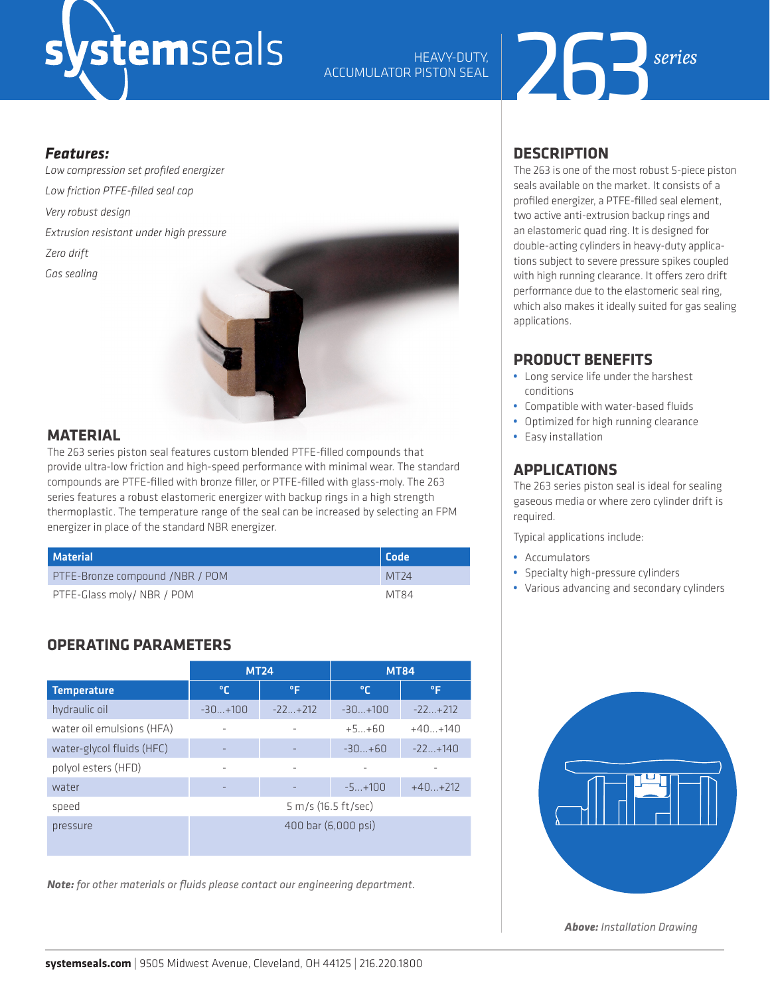## stemseals

## HEAVY-DUTY,<br>ACCUMULATOR PISTON SEAL



#### *Features:*

*Low compression set profiled energizer Low friction PTFE-filled seal cap Very robust design Extrusion resistant under high pressure Zero drift Gas sealing*



#### **MATERIAL**

The 263 series piston seal features custom blended PTFE-filled compounds that provide ultra-low friction and high-speed performance with minimal wear. The standard compounds are PTFE-filled with bronze filler, or PTFE-filled with glass-moly. The 263 series features a robust elastomeric energizer with backup rings in a high strength thermoplastic. The temperature range of the seal can be increased by selecting an FPM energizer in place of the standard NBR energizer.

| Material                        | <b>Code</b>      |
|---------------------------------|------------------|
| PTFE-Bronze compound /NBR / POM | MT <sub>24</sub> |
| PTFE-Glass moly/ NBR / POM      | MT84             |

#### **OPERATING PARAMETERS**

|                           | <b>MT24</b>         |           | <b>MT84</b> |           |  |  |
|---------------------------|---------------------|-----------|-------------|-----------|--|--|
| <b>Temperature</b>        | °С                  | ٥F        | °€          | ۰F        |  |  |
| hydraulic oil             | $-30+100$           | $-22+212$ | $-30+100$   | $-22+212$ |  |  |
| water oil emulsions (HFA) | ۰                   |           | $+5+60$     | $+40+140$ |  |  |
| water-glycol fluids (HFC) |                     |           | $-30+60$    | $-22+140$ |  |  |
| polyol esters (HFD)       | ۰                   | ٠         |             |           |  |  |
| water                     |                     |           | $-5+100$    | $+40+212$ |  |  |
| speed                     | 5 m/s (16.5 ft/sec) |           |             |           |  |  |
| pressure                  | 400 bar (6,000 psi) |           |             |           |  |  |

*Note: for other materials or fluids please contact our engineering department.*

#### **DESCRIPTION**

The 263 is one of the most robust 5-piece piston seals available on the market. It consists of a profiled energizer, a PTFE-filled seal element, two active anti-extrusion backup rings and an elastomeric quad ring. It is designed for double-acting cylinders in heavy-duty applications subject to severe pressure spikes coupled with high running clearance. It offers zero drift performance due to the elastomeric seal ring, which also makes it ideally suited for gas sealing applications.

#### **PRODUCT BENEFITS**

- **•** Long service life under the harshest conditions
- **•** Compatible with water-based fluids
- **•** Optimized for high running clearance
- **•** Easy installation

#### **APPLICATIONS**

The 263 series piston seal is ideal for sealing gaseous media or where zero cylinder drift is required.

Typical applications include:

- **•** Accumulators
- **•** Specialty high-pressure cylinders
- **•** Various advancing and secondary cylinders



*Above: Installation Drawing*